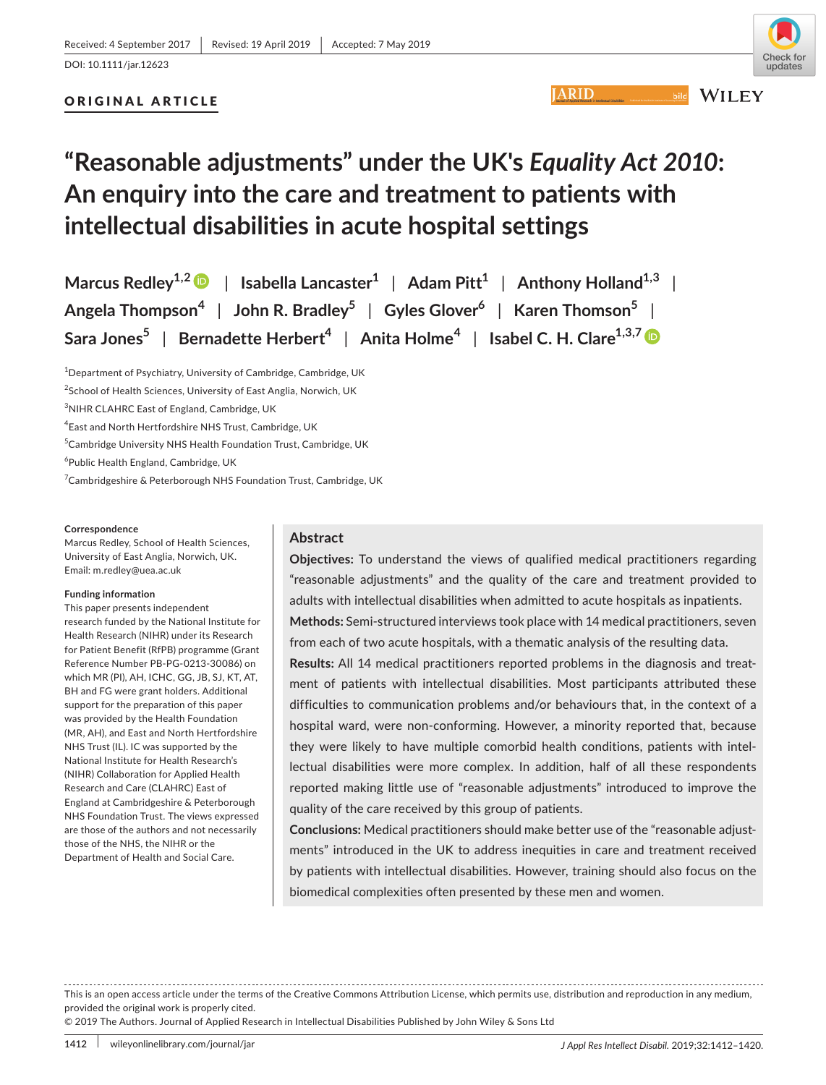# ORIGINAL ARTICLE



**ARID** 

**WILEY** 

# **"Reasonable adjustments" under the UK's** *Equality Act 2010***: An enquiry into the care and treatment to patients with intellectual disabilities in acute hospital settings**

**Marcus** Redley<sup>1,[2](https://orcid.org/0000-0001-8866-7990)</sup>  $\bullet$  | Isabella Lancaster<sup>1</sup> | Adam Pitt<sup>1</sup> | Anthony Holland<sup>1,3</sup> | **Angela Thompson<sup>4</sup>** | **John R. Bradley5** | **Gyles Glover6** | **Karen Thomson5** | **Sara Jones**<sup>5</sup> | Bernadette Herbert<sup>4</sup> | Anita Holme<sup>4</sup> | Isabel C. H. Clare<sup>1,3,7</sup>

<sup>1</sup>Department of Psychiatry, University of Cambridge, Cambridge, UK <sup>2</sup>School of Health Sciences, University of East Anglia, Norwich, UK <sup>3</sup>NIHR CLAHRC East of England, Cambridge, UK 4 East and North Hertfordshire NHS Trust, Cambridge, UK 5 Cambridge University NHS Health Foundation Trust, Cambridge, UK 6 Public Health England, Cambridge, UK <sup>7</sup>Cambridgeshire & Peterborough NHS Foundation Trust, Cambridge, UK

#### **Correspondence**

Marcus Redley, School of Health Sciences, University of East Anglia, Norwich, UK. Email: [m.redley@uea.ac.uk](mailto:m.redley@uea.ac.uk)

#### **Funding information**

This paper presents independent research funded by the National Institute for Health Research (NIHR) under its Research for Patient Benefit (RfPB) programme (Grant Reference Number PB‐PG‐0213‐30086) on which MR (PI), AH, ICHC, GG, JB, SJ, KT, AT, BH and FG were grant holders. Additional support for the preparation of this paper was provided by the Health Foundation (MR, AH), and East and North Hertfordshire NHS Trust (IL). IC was supported by the National Institute for Health Research's (NIHR) Collaboration for Applied Health Research and Care (CLAHRC) East of England at Cambridgeshire & Peterborough NHS Foundation Trust. The views expressed are those of the authors and not necessarily those of the NHS, the NIHR or the Department of Health and Social Care.

## **Abstract**

**Objectives:** To understand the views of qualified medical practitioners regarding "reasonable adjustments" and the quality of the care and treatment provided to adults with intellectual disabilities when admitted to acute hospitals as inpatients. **Methods:** Semi‐structured interviews took place with 14 medical practitioners, seven from each of two acute hospitals, with a thematic analysis of the resulting data.

**Results:** All 14 medical practitioners reported problems in the diagnosis and treat‐ ment of patients with intellectual disabilities. Most participants attributed these difficulties to communication problems and/or behaviours that, in the context of a hospital ward, were non-conforming. However, a minority reported that, because they were likely to have multiple comorbid health conditions, patients with intel‐ lectual disabilities were more complex. In addition, half of all these respondents reported making little use of "reasonable adjustments" introduced to improve the quality of the care received by this group of patients.

**Conclusions:** Medical practitioners should make better use of the "reasonable adjust‐ ments" introduced in the UK to address inequities in care and treatment received by patients with intellectual disabilities. However, training should also focus on the biomedical complexities often presented by these men and women.

This is an open access article under the terms of the Creative Commons Attribution License, which permits use, distribution and reproduction in any medium, provided the original work is properly cited.

© 2019 The Authors. Journal of Applied Research in Intellectual Disabilities Published by John Wiley & Sons Ltd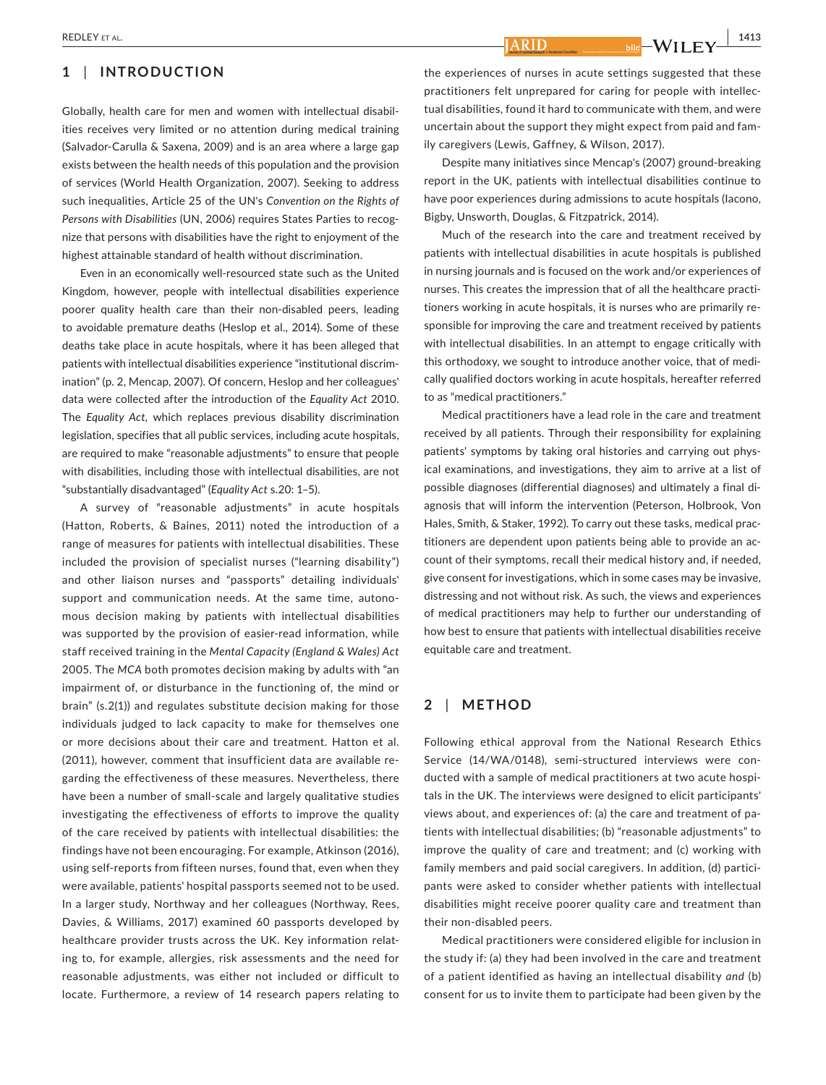# **1** | **INTRODUCTION**

Globally, health care for men and women with intellectual disabil‐ ities receives very limited or no attention during medical training (Salvador‐Carulla & Saxena, 2009) and is an area where a large gap exists between the health needs of this population and the provision of services (World Health Organization, 2007). Seeking to address such inequalities, Article 25 of the UN's *Convention on the Rights of Persons with Disabilities* (UN, 2006) requires States Parties to recog‐ nize that persons with disabilities have the right to enjoyment of the highest attainable standard of health without discrimination.

Even in an economically well‐resourced state such as the United Kingdom, however, people with intellectual disabilities experience poorer quality health care than their non‐disabled peers, leading to avoidable premature deaths (Heslop et al., 2014). Some of these deaths take place in acute hospitals, where it has been alleged that patients with intellectual disabilities experience "institutional discrim‐ ination" (p. 2, Mencap, 2007). Of concern, Heslop and her colleagues' data were collected after the introduction of the *Equality Act* 2010. The *Equality Act*, which replaces previous disability discrimination legislation, specifies that all public services, including acute hospitals, are required to make "reasonable adjustments" to ensure that people with disabilities, including those with intellectual disabilities, are not "substantially disadvantaged" (*Equality Act* s.20: 1–5).

A survey of "reasonable adjustments" in acute hospitals (Hatton, Roberts, & Baines, 2011) noted the introduction of a range of measures for patients with intellectual disabilities. These included the provision of specialist nurses ("learning disability") and other liaison nurses and "passports" detailing individuals' support and communication needs. At the same time, autono‐ mous decision making by patients with intellectual disabilities was supported by the provision of easier-read information, while staff received training in the *Mental Capacity (England & Wales) Act* 2005. The *MCA* both promotes decision making by adults with "an impairment of, or disturbance in the functioning of, the mind or brain" (s.2(1)) and regulates substitute decision making for those individuals judged to lack capacity to make for themselves one or more decisions about their care and treatment. Hatton et al. (2011), however, comment that insufficient data are available re‐ garding the effectiveness of these measures. Nevertheless, there have been a number of small‐scale and largely qualitative studies investigating the effectiveness of efforts to improve the quality of the care received by patients with intellectual disabilities: the findings have not been encouraging. For example, Atkinson (2016), using self‐reports from fifteen nurses, found that, even when they were available, patients' hospital passports seemed not to be used. In a larger study, Northway and her colleagues (Northway, Rees, Davies, & Williams, 2017) examined 60 passports developed by healthcare provider trusts across the UK. Key information relating to, for example, allergies, risk assessments and the need for reasonable adjustments, was either not included or difficult to locate. Furthermore, a review of 14 research papers relating to

**ARID** 

the experiences of nurses in acute settings suggested that these practitioners felt unprepared for caring for people with intellec‐ tual disabilities, found it hard to communicate with them, and were uncertain about the support they might expect from paid and fam‐ ily caregivers (Lewis, Gaffney, & Wilson, 2017).

Despite many initiatives since Mencap's (2007) ground‐breaking report in the UK, patients with intellectual disabilities continue to have poor experiences during admissions to acute hospitals (Jacono, Bigby, Unsworth, Douglas, & Fitzpatrick, 2014).

Much of the research into the care and treatment received by patients with intellectual disabilities in acute hospitals is published in nursing journals and is focused on the work and/or experiences of nurses. This creates the impression that of all the healthcare practi‐ tioners working in acute hospitals, it is nurses who are primarily re‐ sponsible for improving the care and treatment received by patients with intellectual disabilities. In an attempt to engage critically with this orthodoxy, we sought to introduce another voice, that of medi‐ cally qualified doctors working in acute hospitals, hereafter referred to as "medical practitioners."

Medical practitioners have a lead role in the care and treatment received by all patients. Through their responsibility for explaining patients' symptoms by taking oral histories and carrying out phys‐ ical examinations, and investigations, they aim to arrive at a list of possible diagnoses (differential diagnoses) and ultimately a final di‐ agnosis that will inform the intervention (Peterson, Holbrook, Von Hales, Smith, & Staker, 1992). To carry out these tasks, medical prac‐ titioners are dependent upon patients being able to provide an ac‐ count of their symptoms, recall their medical history and, if needed, give consent for investigations, which in some cases may be invasive, distressing and not without risk. As such, the views and experiences of medical practitioners may help to further our understanding of how best to ensure that patients with intellectual disabilities receive equitable care and treatment.

## **2** | **METHOD**

Following ethical approval from the National Research Ethics Service (14/WA/0148), semi-structured interviews were conducted with a sample of medical practitioners at two acute hospi‐ tals in the UK. The interviews were designed to elicit participants' views about, and experiences of: (a) the care and treatment of pa‐ tients with intellectual disabilities; (b) "reasonable adjustments" to improve the quality of care and treatment; and (c) working with family members and paid social caregivers. In addition, (d) participants were asked to consider whether patients with intellectual disabilities might receive poorer quality care and treatment than their non‐disabled peers.

Medical practitioners were considered eligible for inclusion in the study if: (a) they had been involved in the care and treatment of a patient identified as having an intellectual disability *and* (b) consent for us to invite them to participate had been given by the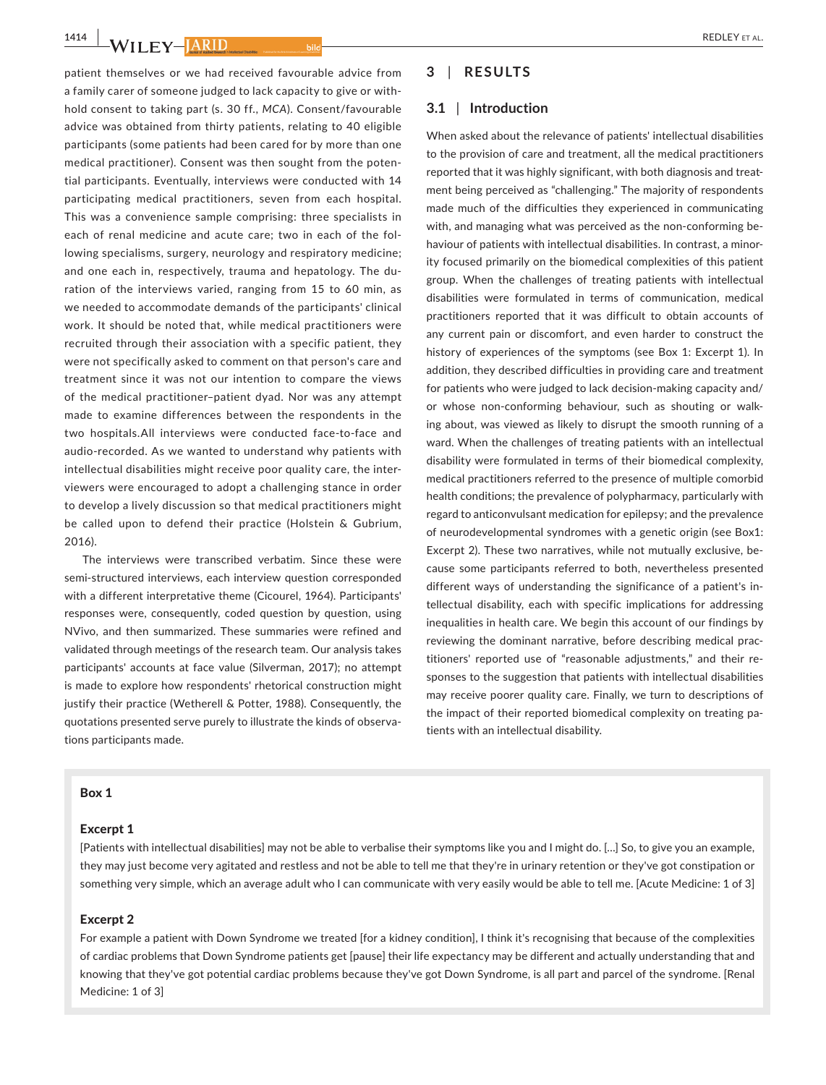$\frac{1414}{W}$ **WILEY-LARID** 

patient themselves or we had received favourable advice from a family carer of someone judged to lack capacity to give or with‐ hold consent to taking part (s. 30 ff., *MCA*). Consent/favourable advice was obtained from thirty patients, relating to 40 eligible participants (some patients had been cared for by more than one medical practitioner). Consent was then sought from the poten‐ tial participants. Eventually, interviews were conducted with 14 participating medical practitioners, seven from each hospital. This was a convenience sample comprising: three specialists in each of renal medicine and acute care; two in each of the fol‐ lowing specialisms, surgery, neurology and respiratory medicine; and one each in, respectively, trauma and hepatology. The du‐ ration of the interviews varied, ranging from 15 to 60 min, as we needed to accommodate demands of the participants' clinical work. It should be noted that, while medical practitioners were recruited through their association with a specific patient, they were not specifically asked to comment on that person's care and treatment since it was not our intention to compare the views of the medical practitioner–patient dyad. Nor was any attempt made to examine differences between the respondents in the two hospitals.All interviews were conducted face‐to‐face and audio‐recorded. As we wanted to understand why patients with intellectual disabilities might receive poor quality care, the inter‐ viewers were encouraged to adopt a challenging stance in order to develop a lively discussion so that medical practitioners might be called upon to defend their practice (Holstein & Gubrium, 2016).

The interviews were transcribed verbatim. Since these were semi-structured interviews, each interview question corresponded with a different interpretative theme (Cicourel, 1964). Participants' responses were, consequently, coded question by question, using NVivo, and then summarized. These summaries were refined and validated through meetings of the research team. Our analysis takes participants' accounts at face value (Silverman, 2017); no attempt is made to explore how respondents' rhetorical construction might justify their practice (Wetherell & Potter, 1988). Consequently, the quotations presented serve purely to illustrate the kinds of observa‐ tions participants made.

## **3** | **RESULTS**

#### **3.1** | **Introduction**

When asked about the relevance of patients' intellectual disabilities to the provision of care and treatment, all the medical practitioners reported that it was highly significant, with both diagnosis and treat‐ ment being perceived as "challenging." The majority of respondents made much of the difficulties they experienced in communicating with, and managing what was perceived as the non-conforming behaviour of patients with intellectual disabilities. In contrast, a minority focused primarily on the biomedical complexities of this patient group. When the challenges of treating patients with intellectual disabilities were formulated in terms of communication, medical practitioners reported that it was difficult to obtain accounts of any current pain or discomfort, and even harder to construct the history of experiences of the symptoms (see Box 1: Excerpt 1). In addition, they described difficulties in providing care and treatment for patients who were judged to lack decision‐making capacity and/ or whose non‐conforming behaviour, such as shouting or walk‐ ing about, was viewed as likely to disrupt the smooth running of a ward. When the challenges of treating patients with an intellectual disability were formulated in terms of their biomedical complexity, medical practitioners referred to the presence of multiple comorbid health conditions; the prevalence of polypharmacy, particularly with regard to anticonvulsant medication for epilepsy; and the prevalence of neurodevelopmental syndromes with a genetic origin (see Box1: Excerpt 2). These two narratives, while not mutually exclusive, be‐ cause some participants referred to both, nevertheless presented different ways of understanding the significance of a patient's in‐ tellectual disability, each with specific implications for addressing inequalities in health care. We begin this account of our findings by reviewing the dominant narrative, before describing medical prac‐ titioners' reported use of "reasonable adjustments," and their re‐ sponses to the suggestion that patients with intellectual disabilities may receive poorer quality care. Finally, we turn to descriptions of the impact of their reported biomedical complexity on treating pa‐ tients with an intellectual disability.

#### Box 1

### Excerpt 1

[Patients with intellectual disabilities] may not be able to verbalise their symptoms like you and I might do. […] So, to give you an example, they may just become very agitated and restless and not be able to tell me that they're in urinary retention or they've got constipation or something very simple, which an average adult who I can communicate with very easily would be able to tell me. [Acute Medicine: 1 of 3]

## Excerpt 2

For example a patient with Down Syndrome we treated [for a kidney condition], I think it's recognising that because of the complexities of cardiac problems that Down Syndrome patients get [pause] their life expectancy may be different and actually understanding that and knowing that they've got potential cardiac problems because they've got Down Syndrome, is all part and parcel of the syndrome. [Renal Medicine: 1 of 3]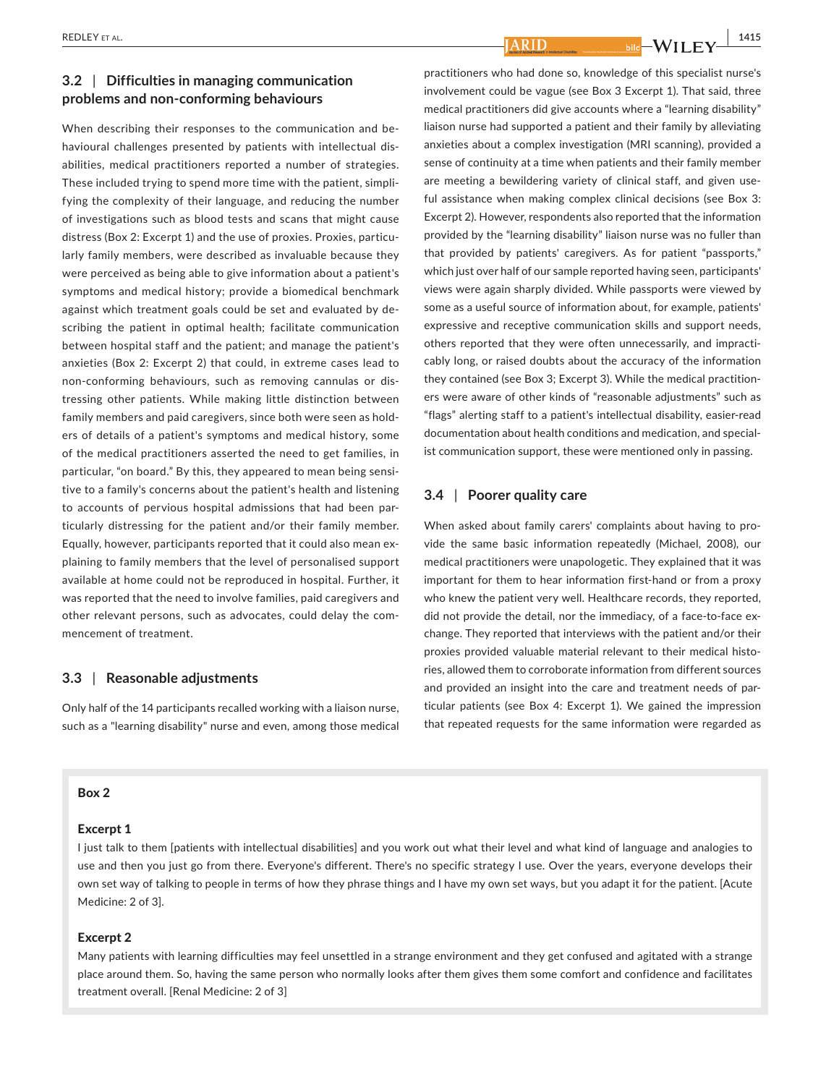# **3.2** | **Difficulties in managing communication problems and non‐conforming behaviours**

When describing their responses to the communication and be‐ havioural challenges presented by patients with intellectual dis‐ abilities, medical practitioners reported a number of strategies. These included trying to spend more time with the patient, simpli‐ fying the complexity of their language, and reducing the number of investigations such as blood tests and scans that might cause distress (Box 2: Excerpt 1) and the use of proxies. Proxies, particu‐ larly family members, were described as invaluable because they were perceived as being able to give information about a patient's symptoms and medical history; provide a biomedical benchmark against which treatment goals could be set and evaluated by de‐ scribing the patient in optimal health; facilitate communication between hospital staff and the patient; and manage the patient's anxieties (Box 2: Excerpt 2) that could, in extreme cases lead to non-conforming behaviours, such as removing cannulas or distressing other patients. While making little distinction between family members and paid caregivers, since both were seen as hold‐ ers of details of a patient's symptoms and medical history, some of the medical practitioners asserted the need to get families, in particular, "on board." By this, they appeared to mean being sensitive to a family's concerns about the patient's health and listening to accounts of pervious hospital admissions that had been par‐ ticularly distressing for the patient and/or their family member. Equally, however, participants reported that it could also mean ex‐ plaining to family members that the level of personalised support available at home could not be reproduced in hospital. Further, it was reported that the need to involve families, paid caregivers and other relevant persons, such as advocates, could delay the com‐ mencement of treatment.

## **3.3** | **Reasonable adjustments**

Only half of the 14 participants recalled working with a liaison nurse, such as a "learning disability" nurse and even, among those medical **ARID** 

practitioners who had done so, knowledge of this specialist nurse's involvement could be vague (see Box 3 Excerpt 1). That said, three medical practitioners did give accounts where a "learning disability" liaison nurse had supported a patient and their family by alleviating anxieties about a complex investigation (MRI scanning), provided a sense of continuity at a time when patients and their family member are meeting a bewildering variety of clinical staff, and given useful assistance when making complex clinical decisions (see Box 3: Excerpt 2). However, respondents also reported that the information provided by the "learning disability" liaison nurse was no fuller than that provided by patients' caregivers. As for patient "passports," which just over half of our sample reported having seen, participants' views were again sharply divided. While passports were viewed by some as a useful source of information about, for example, patients' expressive and receptive communication skills and support needs, others reported that they were often unnecessarily, and impracti‐ cably long, or raised doubts about the accuracy of the information they contained (see Box 3; Excerpt 3). While the medical practition‐ ers were aware of other kinds of "reasonable adjustments" such as "flags" alerting staff to a patient's intellectual disability, easier‐read documentation about health conditions and medication, and special‐ ist communication support, these were mentioned only in passing.

## **3.4** | **Poorer quality care**

When asked about family carers' complaints about having to pro‐ vide the same basic information repeatedly (Michael, 2008), our medical practitioners were unapologetic. They explained that it was important for them to hear information first-hand or from a proxy who knew the patient very well. Healthcare records, they reported, did not provide the detail, nor the immediacy, of a face-to-face exchange. They reported that interviews with the patient and/or their proxies provided valuable material relevant to their medical histories, allowed them to corroborate information from different sources and provided an insight into the care and treatment needs of particular patients (see Box 4: Excerpt 1). We gained the impression that repeated requests for the same information were regarded as

#### Box 2

### Excerpt 1

I just talk to them [patients with intellectual disabilities] and you work out what their level and what kind of language and analogies to use and then you just go from there. Everyone's different. There's no specific strategy I use. Over the years, everyone develops their own set way of talking to people in terms of how they phrase things and I have my own set ways, but you adapt it for the patient. [Acute Medicine: 2 of 3].

## Excerpt 2

Many patients with learning difficulties may feel unsettled in a strange environment and they get confused and agitated with a strange place around them. So, having the same person who normally looks after them gives them some comfort and confidence and facilitates treatment overall. [Renal Medicine: 2 of 3]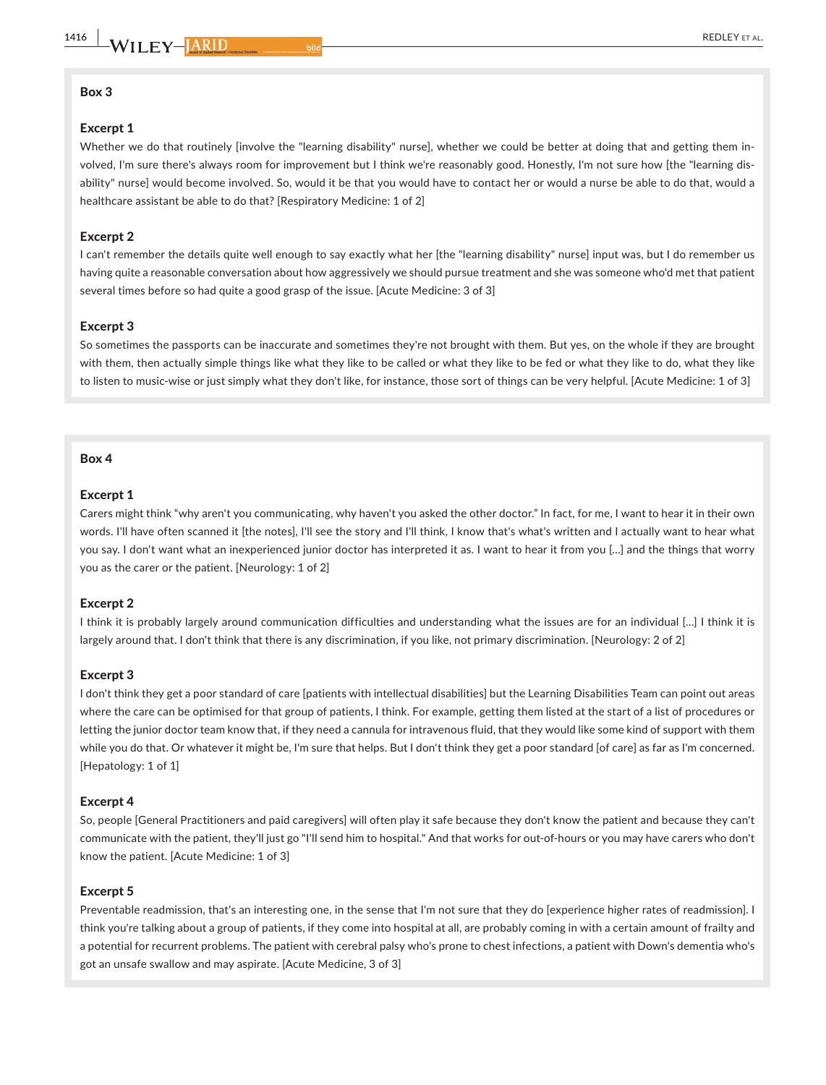## Box 3

## Excerpt 1

Whether we do that routinely [involve the "learning disability" nurse], whether we could be better at doing that and getting them involved, I'm sure there's always room for improvement but I think we're reasonably good. Honestly, I'm not sure how [the "learning dis‐ ability" nurse] would become involved. So, would it be that you would have to contact her or would a nurse be able to do that, would a healthcare assistant be able to do that? [Respiratory Medicine: 1 of 2]

#### Excerpt 2

I can't remember the details quite well enough to say exactly what her [the "learning disability" nurse] input was, but I do remember us having quite a reasonable conversation about how aggressively we should pursue treatment and she was someone who'd met that patient several times before so had quite a good grasp of the issue. [Acute Medicine: 3 of 3]

#### Excerpt 3

So sometimes the passports can be inaccurate and sometimes they're not brought with them. But yes, on the whole if they are brought with them, then actually simple things like what they like to be called or what they like to be fed or what they like to do, what they like to listen to music-wise or just simply what they don't like, for instance, those sort of things can be very helpful. [Acute Medicine: 1 of 3]

#### Box 4

#### Excerpt 1

Carers might think "why aren't you communicating, why haven't you asked the other doctor." In fact, for me, I want to hear it in their own words. I'll have often scanned it [the notes], I'll see the story and I'll think, I know that's what's written and I actually want to hear what you say. I don't want what an inexperienced junior doctor has interpreted it as. I want to hear it from you […] and the things that worry you as the carer or the patient. [Neurology: 1 of 2]

#### Excerpt 2

I think it is probably largely around communication difficulties and understanding what the issues are for an individual […] I think it is largely around that. I don't think that there is any discrimination, if you like, not primary discrimination. [Neurology: 2 of 2]

#### Excerpt 3

I don't think they get a poor standard of care [patients with intellectual disabilities] but the Learning Disabilities Team can point out areas where the care can be optimised for that group of patients, I think. For example, getting them listed at the start of a list of procedures or letting the junior doctor team know that, if they need a cannula for intravenous fluid, that they would like some kind of support with them while you do that. Or whatever it might be, I'm sure that helps. But I don't think they get a poor standard [of care] as far as I'm concerned. [Hepatology: 1 of 1]

#### Excerpt 4

So, people [General Practitioners and paid caregivers] will often play it safe because they don't know the patient and because they can't communicate with the patient, they'll just go "I'll send him to hospital." And that works for out‐of‐hours or you may have carers who don't know the patient. [Acute Medicine: 1 of 3]

#### Excerpt 5

Preventable readmission, that's an interesting one, in the sense that I'm not sure that they do [experience higher rates of readmission]. I think you're talking about a group of patients, if they come into hospital at all, are probably coming in with a certain amount of frailty and a potential for recurrent problems. The patient with cerebral palsy who's prone to chest infections, a patient with Down's dementia who's got an unsafe swallow and may aspirate. [Acute Medicine, 3 of 3]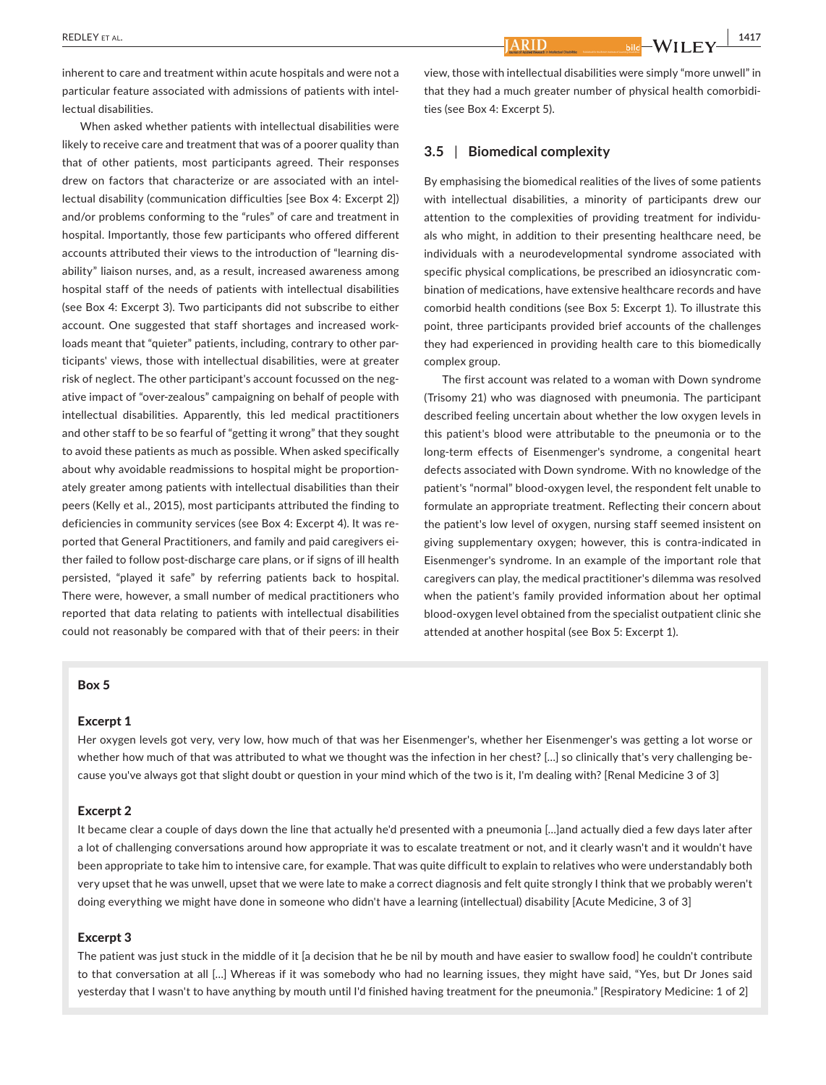inherent to care and treatment within acute hospitals and were not a particular feature associated with admissions of patients with intel‐ lectual disabilities.

When asked whether patients with intellectual disabilities were likely to receive care and treatment that was of a poorer quality than that of other patients, most participants agreed. Their responses drew on factors that characterize or are associated with an intel‐ lectual disability (communication difficulties [see Box 4: Excerpt 2]) and/or problems conforming to the "rules" of care and treatment in hospital. Importantly, those few participants who offered different accounts attributed their views to the introduction of "learning dis‐ ability" liaison nurses, and, as a result, increased awareness among hospital staff of the needs of patients with intellectual disabilities (see Box 4: Excerpt 3). Two participants did not subscribe to either account. One suggested that staff shortages and increased work‐ loads meant that "quieter" patients, including, contrary to other participants' views, those with intellectual disabilities, were at greater risk of neglect. The other participant's account focussed on the neg‐ ative impact of "over‐zealous" campaigning on behalf of people with intellectual disabilities. Apparently, this led medical practitioners and other staff to be so fearful of "getting it wrong" that they sought to avoid these patients as much as possible. When asked specifically about why avoidable readmissions to hospital might be proportion‐ ately greater among patients with intellectual disabilities than their peers (Kelly et al., 2015), most participants attributed the finding to deficiencies in community services (see Box 4: Excerpt 4). It was re‐ ported that General Practitioners, and family and paid caregivers ei‐ ther failed to follow post-discharge care plans, or if signs of ill health persisted, "played it safe" by referring patients back to hospital. There were, however, a small number of medical practitioners who reported that data relating to patients with intellectual disabilities could not reasonably be compared with that of their peers: in their

# view, those with intellectual disabilities were simply "more unwell" in that they had a much greater number of physical health comorbidi‐ ties (see Box 4: Excerpt 5).

## **3.5** | **Biomedical complexity**

ARID

By emphasising the biomedical realities of the lives of some patients with intellectual disabilities, a minority of participants drew our attention to the complexities of providing treatment for individu‐ als who might, in addition to their presenting healthcare need, be individuals with a neurodevelopmental syndrome associated with specific physical complications, be prescribed an idiosyncratic combination of medications, have extensive healthcare records and have comorbid health conditions (see Box 5: Excerpt 1). To illustrate this point, three participants provided brief accounts of the challenges they had experienced in providing health care to this biomedically complex group.

The first account was related to a woman with Down syndrome (Trisomy 21) who was diagnosed with pneumonia. The participant described feeling uncertain about whether the low oxygen levels in this patient's blood were attributable to the pneumonia or to the long‐term effects of Eisenmenger's syndrome, a congenital heart defects associated with Down syndrome. With no knowledge of the patient's "normal" blood‐oxygen level, the respondent felt unable to formulate an appropriate treatment. Reflecting their concern about the patient's low level of oxygen, nursing staff seemed insistent on giving supplementary oxygen; however, this is contra‐indicated in Eisenmenger's syndrome. In an example of the important role that caregivers can play, the medical practitioner's dilemma was resolved when the patient's family provided information about her optimal blood‐oxygen level obtained from the specialist outpatient clinic she attended at another hospital (see Box 5: Excerpt 1).

#### Box 5

#### Excerpt 1

Her oxygen levels got very, very low, how much of that was her Eisenmenger's, whether her Eisenmenger's was getting a lot worse or whether how much of that was attributed to what we thought was the infection in her chest? [...] so clinically that's very challenging because you've always got that slight doubt or question in your mind which of the two is it, I'm dealing with? [Renal Medicine 3 of 3]

#### Excerpt 2

It became clear a couple of days down the line that actually he'd presented with a pneumonia […]and actually died a few days later after a lot of challenging conversations around how appropriate it was to escalate treatment or not, and it clearly wasn't and it wouldn't have been appropriate to take him to intensive care, for example. That was quite difficult to explain to relatives who were understandably both very upset that he was unwell, upset that we were late to make a correct diagnosis and felt quite strongly I think that we probably weren't doing everything we might have done in someone who didn't have a learning (intellectual) disability [Acute Medicine, 3 of 3]

## Excerpt 3

The patient was just stuck in the middle of it [a decision that he be nil by mouth and have easier to swallow food] he couldn't contribute to that conversation at all […] Whereas if it was somebody who had no learning issues, they might have said, "Yes, but Dr Jones said yesterday that I wasn't to have anything by mouth until I'd finished having treatment for the pneumonia." [Respiratory Medicine: 1 of 2]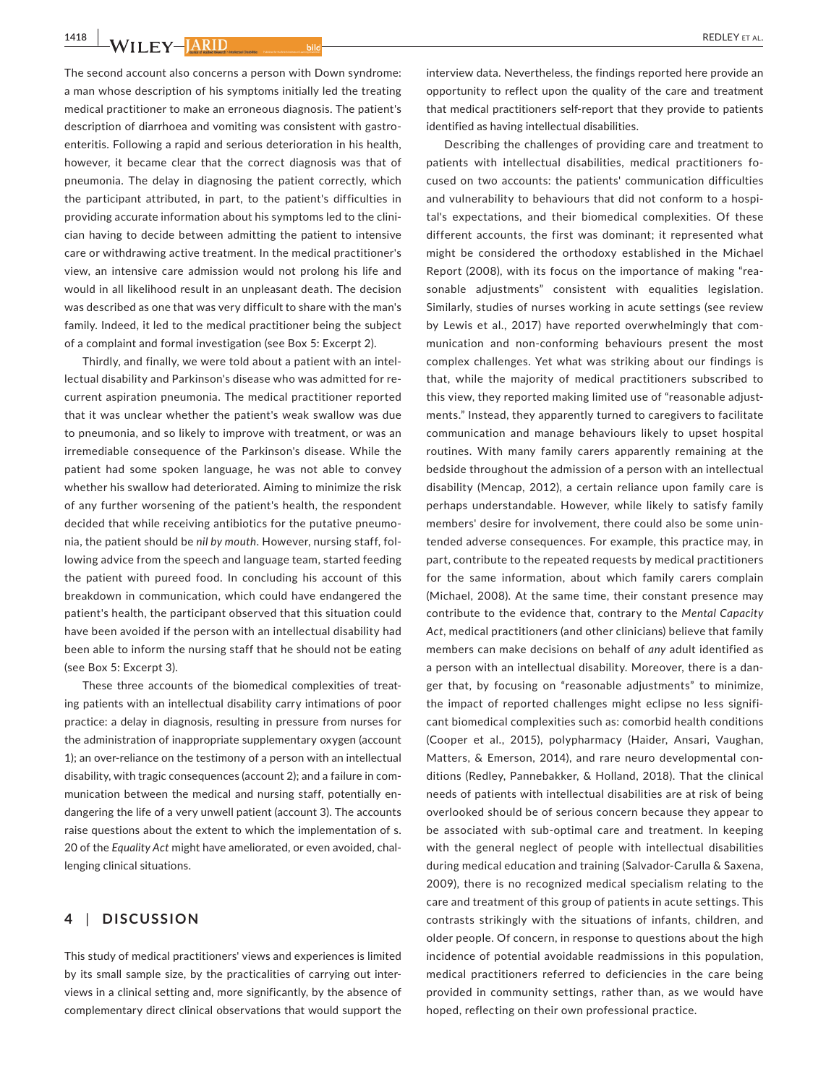1418 **WILEY-HARID** 

The second account also concerns a person with Down syndrome: a man whose description of his symptoms initially led the treating medical practitioner to make an erroneous diagnosis. The patient's description of diarrhoea and vomiting was consistent with gastro‐ enteritis. Following a rapid and serious deterioration in his health, however, it became clear that the correct diagnosis was that of pneumonia. The delay in diagnosing the patient correctly, which the participant attributed, in part, to the patient's difficulties in providing accurate information about his symptoms led to the clini‐ cian having to decide between admitting the patient to intensive care or withdrawing active treatment. In the medical practitioner's view, an intensive care admission would not prolong his life and would in all likelihood result in an unpleasant death. The decision was described as one that was very difficult to share with the man's family. Indeed, it led to the medical practitioner being the subject of a complaint and formal investigation (see Box 5: Excerpt 2).

Thirdly, and finally, we were told about a patient with an intel‐ lectual disability and Parkinson's disease who was admitted for re‐ current aspiration pneumonia. The medical practitioner reported that it was unclear whether the patient's weak swallow was due to pneumonia, and so likely to improve with treatment, or was an irremediable consequence of the Parkinson's disease. While the patient had some spoken language, he was not able to convey whether his swallow had deteriorated. Aiming to minimize the risk of any further worsening of the patient's health, the respondent decided that while receiving antibiotics for the putative pneumo‐ nia, the patient should be *nil by mouth*. However, nursing staff, fol‐ lowing advice from the speech and language team, started feeding the patient with pureed food. In concluding his account of this breakdown in communication, which could have endangered the patient's health, the participant observed that this situation could have been avoided if the person with an intellectual disability had been able to inform the nursing staff that he should not be eating (see Box 5: Excerpt 3).

These three accounts of the biomedical complexities of treat‐ ing patients with an intellectual disability carry intimations of poor practice: a delay in diagnosis, resulting in pressure from nurses for the administration of inappropriate supplementary oxygen (account 1); an over-reliance on the testimony of a person with an intellectual disability, with tragic consequences (account 2); and a failure in com‐ munication between the medical and nursing staff, potentially endangering the life of a very unwell patient (account 3). The accounts raise questions about the extent to which the implementation of s. 20 of the *Equality Act* might have ameliorated, or even avoided, chal‐ lenging clinical situations.

## **4** | **DISCUSSION**

This study of medical practitioners' views and experiences is limited by its small sample size, by the practicalities of carrying out inter‐ views in a clinical setting and, more significantly, by the absence of complementary direct clinical observations that would support the interview data. Nevertheless, the findings reported here provide an opportunity to reflect upon the quality of the care and treatment that medical practitioners self‐report that they provide to patients identified as having intellectual disabilities.

Describing the challenges of providing care and treatment to patients with intellectual disabilities, medical practitioners fo‐ cused on two accounts: the patients' communication difficulties and vulnerability to behaviours that did not conform to a hospi‐ tal's expectations, and their biomedical complexities. Of these different accounts, the first was dominant; it represented what might be considered the orthodoxy established in the Michael Report (2008), with its focus on the importance of making "rea‐ sonable adjustments" consistent with equalities legislation. Similarly, studies of nurses working in acute settings (see review by Lewis et al., 2017) have reported overwhelmingly that communication and non‐conforming behaviours present the most complex challenges. Yet what was striking about our findings is that, while the majority of medical practitioners subscribed to this view, they reported making limited use of "reasonable adjust‐ ments." Instead, they apparently turned to caregivers to facilitate communication and manage behaviours likely to upset hospital routines. With many family carers apparently remaining at the bedside throughout the admission of a person with an intellectual disability (Mencap, 2012), a certain reliance upon family care is perhaps understandable. However, while likely to satisfy family members' desire for involvement, there could also be some unin‐ tended adverse consequences. For example, this practice may, in part, contribute to the repeated requests by medical practitioners for the same information, about which family carers complain (Michael, 2008). At the same time, their constant presence may contribute to the evidence that, contrary to the *Mental Capacity Act*, medical practitioners (and other clinicians) believe that family members can make decisions on behalf of *any* adult identified as a person with an intellectual disability. Moreover, there is a dan‐ ger that, by focusing on "reasonable adjustments" to minimize, the impact of reported challenges might eclipse no less signifi‐ cant biomedical complexities such as: comorbid health conditions (Cooper et al., 2015), polypharmacy (Haider, Ansari, Vaughan, Matters, & Emerson, 2014), and rare neuro developmental con‐ ditions (Redley, Pannebakker, & Holland, 2018). That the clinical needs of patients with intellectual disabilities are at risk of being overlooked should be of serious concern because they appear to be associated with sub‐optimal care and treatment. In keeping with the general neglect of people with intellectual disabilities during medical education and training (Salvador‐Carulla & Saxena, 2009), there is no recognized medical specialism relating to the care and treatment of this group of patients in acute settings. This contrasts strikingly with the situations of infants, children, and older people. Of concern, in response to questions about the high incidence of potential avoidable readmissions in this population, medical practitioners referred to deficiencies in the care being provided in community settings, rather than, as we would have hoped, reflecting on their own professional practice.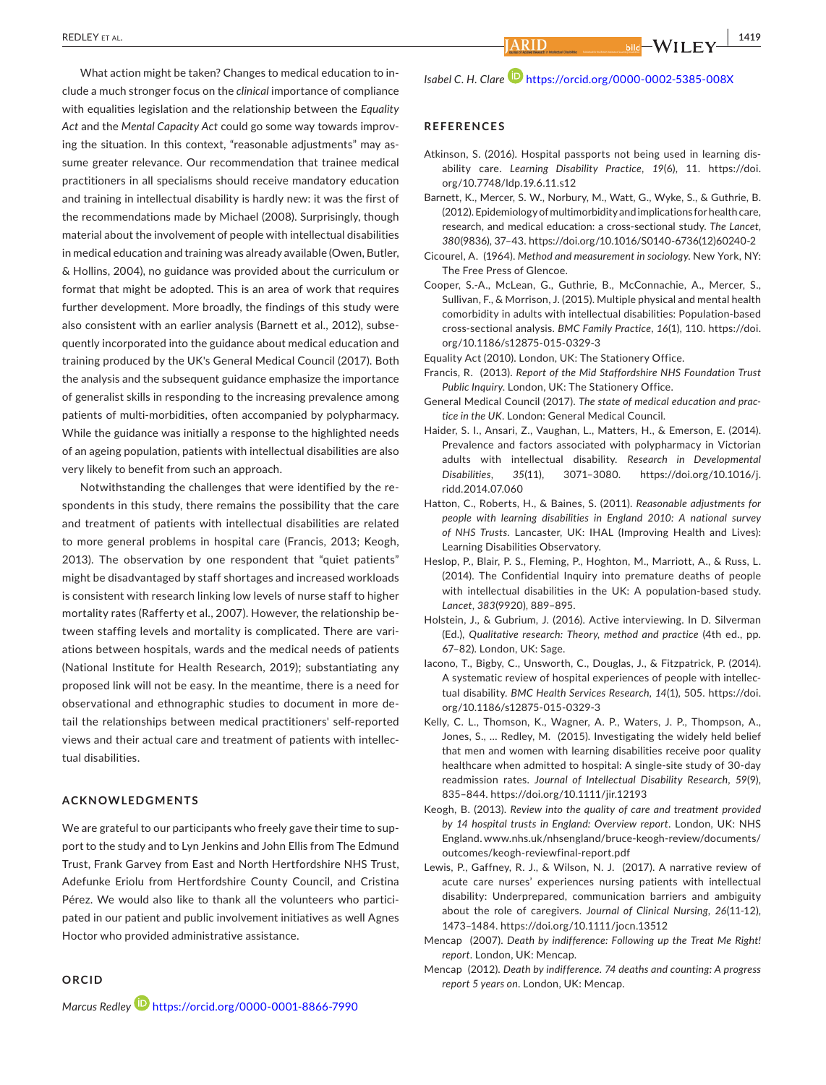What action might be taken? Changes to medical education to in‐ clude a much stronger focus on the *clinical* importance of compliance with equalities legislation and the relationship between the *Equality Act* and the *Mental Capacity Act* could go some way towards improv‐ ing the situation. In this context, "reasonable adjustments" may assume greater relevance. Our recommendation that trainee medical practitioners in all specialisms should receive mandatory education and training in intellectual disability is hardly new: it was the first of the recommendations made by Michael (2008). Surprisingly, though material about the involvement of people with intellectual disabilities in medical education and training was already available (Owen, Butler, & Hollins, 2004), no guidance was provided about the curriculum or format that might be adopted. This is an area of work that requires further development. More broadly, the findings of this study were also consistent with an earlier analysis (Barnett et al., 2012), subse‐ quently incorporated into the guidance about medical education and training produced by the UK's General Medical Council (2017). Both the analysis and the subsequent guidance emphasize the importance of generalist skills in responding to the increasing prevalence among patients of multi-morbidities, often accompanied by polypharmacy. While the guidance was initially a response to the highlighted needs of an ageing population, patients with intellectual disabilities are also very likely to benefit from such an approach.

Notwithstanding the challenges that were identified by the re‐ spondents in this study, there remains the possibility that the care and treatment of patients with intellectual disabilities are related to more general problems in hospital care (Francis, 2013; Keogh, 2013). The observation by one respondent that "quiet patients" might be disadvantaged by staff shortages and increased workloads is consistent with research linking low levels of nurse staff to higher mortality rates (Rafferty et al., 2007). However, the relationship be‐ tween staffing levels and mortality is complicated. There are vari‐ ations between hospitals, wards and the medical needs of patients (National Institute for Health Research, 2019); substantiating any proposed link will not be easy. In the meantime, there is a need for observational and ethnographic studies to document in more de‐ tail the relationships between medical practitioners' self‐reported views and their actual care and treatment of patients with intellec‐ tual disabilities.

## **ACKNOWLEDGMENTS**

We are grateful to our participants who freely gave their time to support to the study and to Lyn Jenkins and John Ellis from The Edmund Trust, Frank Garvey from East and North Hertfordshire NHS Trust, Adefunke Eriolu from Hertfordshire County Council, and Cristina Pérez. We would also like to thank all the volunteers who partici‐ pated in our patient and public involvement initiatives as well Agnes Hoctor who provided administrative assistance.

#### **ORCID**

*Marcus Redley* <https://orcid.org/0000-0001-8866-7990>

*Isabel C. H. Clare* <https://orcid.org/0000-0002-5385-008X>

#### **REFERENCES**

- Atkinson, S. (2016). Hospital passports not being used in learning dis‐ ability care. *Learning Disability Practice*, *19*(6), 11. [https://doi.](https://doi.org/10.7748/ldp.19.6.11.s12) [org/10.7748/ldp.19.6.11.s12](https://doi.org/10.7748/ldp.19.6.11.s12)
- Barnett, K., Mercer, S. W., Norbury, M., Watt, G., Wyke, S., & Guthrie, B. (2012). Epidemiology of multimorbidity and implications for health care, research, and medical education: a cross-sectional study. *The Lancet*, *380*(9836), 37–43. [https://doi.org/10.1016/S0140-6736\(12\)60240-2](https://doi.org/10.1016/S0140-6736(12)60240-2)
- Cicourel, A. (1964). *Method and measurement in sociology*. New York, NY: The Free Press of Glencoe.
- Cooper, S.‐A., McLean, G., Guthrie, B., McConnachie, A., Mercer, S., Sullivan, F., & Morrison, J. (2015). Multiple physical and mental health comorbidity in adults with intellectual disabilities: Population‐based cross‐sectional analysis. *BMC Family Practice*, *16*(1), 110. [https://doi.](https://doi.org/10.1186/s12875-015-0329-3) [org/10.1186/s12875-015-0329-3](https://doi.org/10.1186/s12875-015-0329-3)
- Equality Act (2010). London, UK: The Stationery Office.
- Francis, R. (2013). *Report of the Mid Staffordshire NHS Foundation Trust Public Inquiry*. London, UK: The Stationery Office.
- General Medical Council (2017). *The state of medical education and practice in the UK*. London: General Medical Council.
- Haider, S. I., Ansari, Z., Vaughan, L., Matters, H., & Emerson, E. (2014). Prevalence and factors associated with polypharmacy in Victorian adults with intellectual disability. *Research in Developmental Disabilities*, *35*(11), 3071–3080. [https://doi.org/10.1016/j.](https://doi.org/10.1016/j.ridd.2014.07.060) [ridd.2014.07.060](https://doi.org/10.1016/j.ridd.2014.07.060)
- Hatton, C., Roberts, H., & Baines, S. (2011). *Reasonable adjustments for people with learning disabilities in England 2010: A national survey of NHS Trusts*. Lancaster, UK: IHAL (Improving Health and Lives): Learning Disabilities Observatory.
- Heslop, P., Blair, P. S., Fleming, P., Hoghton, M., Marriott, A., & Russ, L. (2014). The Confidential Inquiry into premature deaths of people with intellectual disabilities in the UK: A population-based study. *Lancet*, *383*(9920), 889–895.
- Holstein, J., & Gubrium, J. (2016). Active interviewing. In D. Silverman (Ed.), *Qualitative research: Theory, method and practice* (4th ed., pp. 67–82). London, UK: Sage.
- Iacono, T., Bigby, C., Unsworth, C., Douglas, J., & Fitzpatrick, P. (2014). A systematic review of hospital experiences of people with intellec‐ tual disability. *BMC Health Services Research*, *14*(1), 505. [https://doi.](https://doi.org/10.1186/s12875-015-0329-3) [org/10.1186/s12875-015-0329-3](https://doi.org/10.1186/s12875-015-0329-3)
- Kelly, C. L., Thomson, K., Wagner, A. P., Waters, J. P., Thompson, A., Jones, S., … Redley, M. (2015). Investigating the widely held belief that men and women with learning disabilities receive poor quality healthcare when admitted to hospital: A single‐site study of 30‐day readmission rates. *Journal of Intellectual Disability Research*, *59*(9), 835–844. <https://doi.org/10.1111/jir.12193>
- Keogh, B. (2013). *Review into the quality of care and treatment provided by 14 hospital trusts in England: Overview report*. London, UK: NHS England. [www.nhs.uk/nhsengland/bruce-keogh-review/documents/](www.nhs.uk/nhsengland/bruce-keogh-review/documents/outcomes/keogh-reviewfinal-report.pdf) [outcomes/keogh-reviewfinal-report.pdf](www.nhs.uk/nhsengland/bruce-keogh-review/documents/outcomes/keogh-reviewfinal-report.pdf)
- Lewis, P., Gaffney, R. J., & Wilson, N. J. (2017). A narrative review of acute care nurses' experiences nursing patients with intellectual disability: Underprepared, communication barriers and ambiguity about the role of caregivers. *Journal of Clinical Nursing*, *26*(11-12), 1473–1484. <https://doi.org/10.1111/jocn.13512>
- Mencap (2007). *Death by indifference: Following up the Treat Me Right! report*. London, UK: Mencap.
- Mencap (2012). *Death by indifference. 74 deaths and counting: A progress report 5 years on*. London, UK: Mencap.